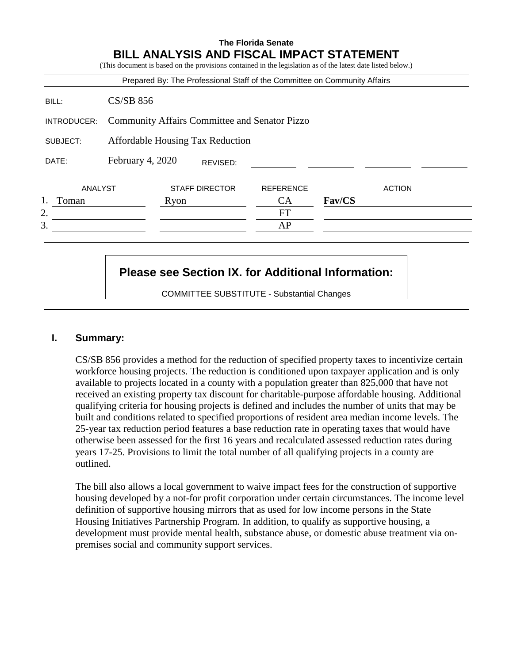|             |                                                      |      |                       | Prepared By: The Professional Staff of the Committee on Community Affairs |        |               |
|-------------|------------------------------------------------------|------|-----------------------|---------------------------------------------------------------------------|--------|---------------|
| BILL:       | <b>CS/SB 856</b>                                     |      |                       |                                                                           |        |               |
| INTRODUCER: | <b>Community Affairs Committee and Senator Pizzo</b> |      |                       |                                                                           |        |               |
| SUBJECT:    | Affordable Housing Tax Reduction                     |      |                       |                                                                           |        |               |
| DATE:       | February 4, 2020                                     |      | REVISED:              |                                                                           |        |               |
| ANALYST     |                                                      |      | <b>STAFF DIRECTOR</b> | <b>REFERENCE</b>                                                          |        | <b>ACTION</b> |
| Toman       |                                                      | Ryon |                       | <b>CA</b>                                                                 | Fav/CS |               |
| 2.          |                                                      |      |                       | <b>FT</b>                                                                 |        |               |
| 3.          |                                                      |      |                       | AP                                                                        |        |               |

# **Please see Section IX. for Additional Information:**

COMMITTEE SUBSTITUTE - Substantial Changes

#### **I. Summary:**

CS/SB 856 provides a method for the reduction of specified property taxes to incentivize certain workforce housing projects. The reduction is conditioned upon taxpayer application and is only available to projects located in a county with a population greater than 825,000 that have not received an existing property tax discount for charitable-purpose affordable housing. Additional qualifying criteria for housing projects is defined and includes the number of units that may be built and conditions related to specified proportions of resident area median income levels. The 25-year tax reduction period features a base reduction rate in operating taxes that would have otherwise been assessed for the first 16 years and recalculated assessed reduction rates during years 17-25. Provisions to limit the total number of all qualifying projects in a county are outlined.

The bill also allows a local government to waive impact fees for the construction of supportive housing developed by a not-for profit corporation under certain circumstances. The income level definition of supportive housing mirrors that as used for low income persons in the State Housing Initiatives Partnership Program. In addition, to qualify as supportive housing, a development must provide mental health, substance abuse, or domestic abuse treatment via onpremises social and community support services.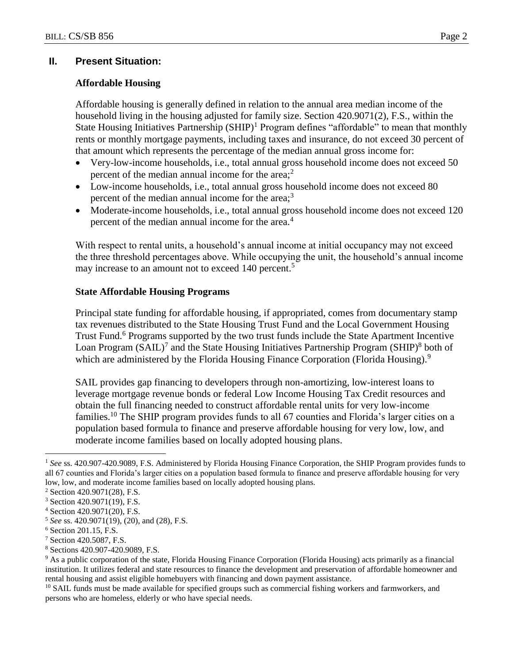## **II. Present Situation:**

### **Affordable Housing**

Affordable housing is generally defined in relation to the annual area median income of the household living in the housing adjusted for family size. Section 420.9071(2), F.S., within the State Housing Initiatives Partnership  $(SHP)^1$  Program defines "affordable" to mean that monthly rents or monthly mortgage payments, including taxes and insurance, do not exceed 30 percent of that amount which represents the percentage of the median annual gross income for:

- Very-low-income households, i.e., total annual gross household income does not exceed 50 percent of the median annual income for the area; $<sup>2</sup>$ </sup>
- Low-income households, i.e., total annual gross household income does not exceed 80 percent of the median annual income for the area; $3$
- Moderate-income households, i.e., total annual gross household income does not exceed 120 percent of the median annual income for the area.<sup>4</sup>

With respect to rental units, a household's annual income at initial occupancy may not exceed the three threshold percentages above. While occupying the unit, the household's annual income may increase to an amount not to exceed 140 percent.<sup>5</sup>

#### **State Affordable Housing Programs**

Principal state funding for affordable housing, if appropriated, comes from documentary stamp tax revenues distributed to the State Housing Trust Fund and the Local Government Housing Trust Fund.<sup>6</sup> Programs supported by the two trust funds include the State Apartment Incentive Loan Program  $(SAIL)^7$  and the State Housing Initiatives Partnership Program  $(SHIP)^8$  both of which are administered by the Florida Housing Finance Corporation (Florida Housing).<sup>9</sup>

SAIL provides gap financing to developers through non-amortizing, low-interest loans to leverage mortgage revenue bonds or federal Low Income Housing Tax Credit resources and obtain the full financing needed to construct affordable rental units for very low-income families.<sup>10</sup> The SHIP program provides funds to all 67 counties and Florida's larger cities on a population based formula to finance and preserve affordable housing for very low, low, and moderate income families based on locally adopted housing plans.

<sup>1</sup> *See* ss. 420.907-420.9089, F.S. Administered by Florida Housing Finance Corporation, the SHIP Program provides funds to all 67 counties and Florida's larger cities on a population based formula to finance and preserve affordable housing for very low, low, and moderate income families based on locally adopted housing plans.

<sup>2</sup> Section 420.9071(28), F.S.

<sup>3</sup> Section 420.9071(19), F.S.

<sup>4</sup> Section 420.9071(20), F.S.

<sup>5</sup> *See* ss. 420.9071(19), (20), and (28), F.S.

<sup>6</sup> Section 201.15, F.S.

<sup>7</sup> Section 420.5087, F.S.

<sup>8</sup> Sections 420.907-420.9089, F.S.

<sup>9</sup> As a public corporation of the state, Florida Housing Finance Corporation (Florida Housing) acts primarily as a financial institution. It utilizes federal and state resources to finance the development and preservation of affordable homeowner and rental housing and assist eligible homebuyers with financing and down payment assistance.

<sup>&</sup>lt;sup>10</sup> SAIL funds must be made available for specified groups such as commercial fishing workers and farmworkers, and persons who are homeless, elderly or who have special needs.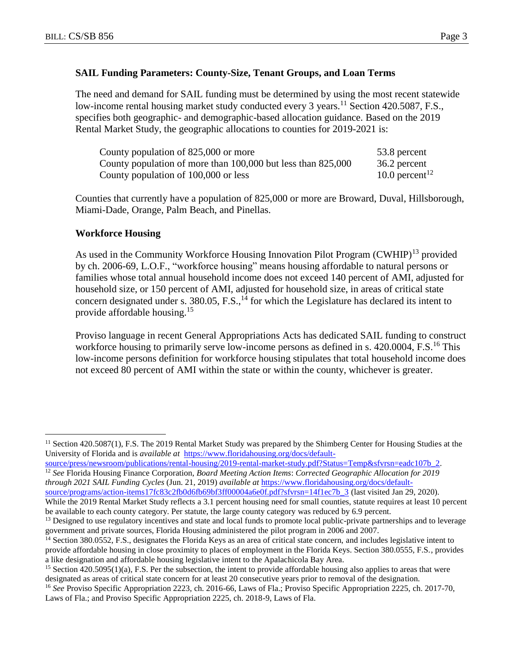## **SAIL Funding Parameters: County-Size, Tenant Groups, and Loan Terms**

The need and demand for SAIL funding must be determined by using the most recent statewide low-income rental housing market study conducted every 3 years.<sup>11</sup> Section 420.5087, F.S., specifies both geographic- and demographic-based allocation guidance. Based on the 2019 Rental Market Study, the geographic allocations to counties for 2019-2021 is:

| County population of 825,000 or more                         | 53.8 percent               |
|--------------------------------------------------------------|----------------------------|
| County population of more than 100,000 but less than 825,000 | 36.2 percent               |
| County population of 100,000 or less                         | 10.0 percent <sup>12</sup> |

Counties that currently have a population of 825,000 or more are Broward, Duval, Hillsborough, Miami-Dade, Orange, Palm Beach, and Pinellas.

#### **Workforce Housing**

 $\overline{a}$ 

As used in the Community Workforce Housing Innovation Pilot Program (CWHIP)<sup>13</sup> provided by ch. 2006-69, L.O.F., "workforce housing" means housing affordable to natural persons or families whose total annual household income does not exceed 140 percent of AMI, adjusted for household size, or 150 percent of AMI, adjusted for household size, in areas of critical state concern designated under s.  $380.05$ , F.S.,<sup>14</sup> for which the Legislature has declared its intent to provide affordable housing.<sup>15</sup>

Proviso language in recent General Appropriations Acts has dedicated SAIL funding to construct workforce housing to primarily serve low-income persons as defined in s. 420,0004, F.S.<sup>16</sup> This low-income persons definition for workforce housing stipulates that total household income does not exceed 80 percent of AMI within the state or within the county, whichever is greater.

[source/press/newsroom/publications/rental-housing/2019-rental-market-study.pdf?Status=Temp&sfvrsn=eadc107b\\_2.](https://www.floridahousing.org/docs/default-source/press/newsroom/publications/rental-housing/2019-rental-market-study.pdf?Status=Temp&sfvrsn=eadc107b_2) <sup>12</sup> *See* Florida Housing Finance Corporation, *Board Meeting Action Items*: *Corrected Geographic Allocation for 2019 through 2021 SAIL Funding Cycles* (Jun. 21, 2019) *available at* [https://www.floridahousing.org/docs/default](https://www.floridahousing.org/docs/default-source/programs/action-items17fc83c2fb0d6fb69bf3ff00004a6e0f.pdf?sfvrsn=14f1ec7b_3)[source/programs/action-items17fc83c2fb0d6fb69bf3ff00004a6e0f.pdf?sfvrsn=14f1ec7b\\_3](https://www.floridahousing.org/docs/default-source/programs/action-items17fc83c2fb0d6fb69bf3ff00004a6e0f.pdf?sfvrsn=14f1ec7b_3) (last visited Jan 29, 2020).

<sup>&</sup>lt;sup>11</sup> Section 420.5087(1), F.S. The 2019 Rental Market Study was prepared by the Shimberg Center for Housing Studies at the University of Florida and is *available at* [https://www.floridahousing.org/docs/default-](https://www.floridahousing.org/docs/default-source/press/newsroom/publications/rental-housing/2019-rental-market-study.pdf?Status=Temp&sfvrsn=eadc107b_2)

While the 2019 Rental Market Study reflects a 3.1 percent housing need for small counties, statute requires at least 10 percent be available to each county category. Per statute, the large county category was reduced by 6.9 percent.

<sup>&</sup>lt;sup>13</sup> Designed to use regulatory incentives and state and local funds to promote local public-private partnerships and to leverage government and private sources, Florida Housing administered the pilot program in 2006 and 2007.

<sup>&</sup>lt;sup>14</sup> Section 380.0552, F.S., designates the Florida Keys as an area of critical state concern, and includes legislative intent to provide affordable housing in close proximity to places of employment in the Florida Keys. Section 380.0555, F.S., provides a like designation and affordable housing legislative intent to the Apalachicola Bay Area.

<sup>&</sup>lt;sup>15</sup> Section 420.5095(1)(a), F.S. Per the subsection, the intent to provide affordable housing also applies to areas that were designated as areas of critical state concern for at least 20 consecutive years prior to removal of the designation.

<sup>&</sup>lt;sup>16</sup> See Proviso Specific Appropriation 2223, ch. 2016-66, Laws of Fla.; Proviso Specific Appropriation 2225, ch. 2017-70, Laws of Fla.; and Proviso Specific Appropriation 2225, ch. 2018-9, Laws of Fla.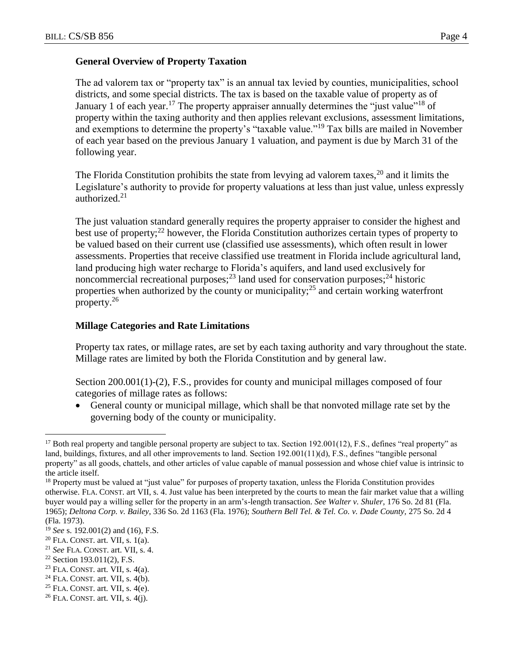The ad valorem tax or "property tax" is an annual tax levied by counties, municipalities, school districts, and some special districts. The tax is based on the taxable value of property as of January 1 of each year.<sup>17</sup> The property appraiser annually determines the "just value"<sup>18</sup> of property within the taxing authority and then applies relevant exclusions, assessment limitations, and exemptions to determine the property's "taxable value."<sup>19</sup> Tax bills are mailed in November of each year based on the previous January 1 valuation, and payment is due by March 31 of the following year.

The Florida Constitution prohibits the state from levying ad valorem taxes,  $20$  and it limits the Legislature's authority to provide for property valuations at less than just value, unless expressly authorized.<sup>21</sup>

The just valuation standard generally requires the property appraiser to consider the highest and best use of property; $^{22}$  however, the Florida Constitution authorizes certain types of property to be valued based on their current use (classified use assessments), which often result in lower assessments. Properties that receive classified use treatment in Florida include agricultural land, land producing high water recharge to Florida's aquifers, and land used exclusively for noncommercial recreational purposes; $^{23}$  land used for conservation purposes; $^{24}$  historic properties when authorized by the county or municipality;<sup>25</sup> and certain working waterfront property.<sup>26</sup>

## **Millage Categories and Rate Limitations**

Property tax rates, or millage rates, are set by each taxing authority and vary throughout the state. Millage rates are limited by both the Florida Constitution and by general law.

Section 200.001(1)-(2), F.S., provides for county and municipal millages composed of four categories of millage rates as follows:

 General county or municipal millage, which shall be that nonvoted millage rate set by the governing body of the county or municipality.

 $22$  Section 193.011(2), F.S.

- $24$  FLA. CONST. art. VII, s. 4(b).
- $25$  FLA. CONST. art. VII, s. 4(e).

<sup>&</sup>lt;sup>17</sup> Both real property and tangible personal property are subject to tax. Section 192.001(12), F.S., defines "real property" as land, buildings, fixtures, and all other improvements to land. Section 192.001(11)(d), F.S., defines "tangible personal property" as all goods, chattels, and other articles of value capable of manual possession and whose chief value is intrinsic to the article itself.

<sup>&</sup>lt;sup>18</sup> Property must be valued at "just value" for purposes of property taxation, unless the Florida Constitution provides otherwise. FLA. CONST. art VII, s. 4. Just value has been interpreted by the courts to mean the fair market value that a willing buyer would pay a willing seller for the property in an arm's-length transaction. *See Walter v. Shuler,* 176 So. 2d 81 (Fla. 1965); *Deltona Corp. v. Bailey*, 336 So. 2d 1163 (Fla. 1976); *Southern Bell Tel. & Tel. Co. v. Dade County,* 275 So. 2d 4 (Fla. 1973).

<sup>19</sup> *See* s. 192.001(2) and (16), F.S.

 $20$  FLA. CONST. art. VII, s. 1(a).

<sup>21</sup> *See* FLA. CONST. art. VII, s. 4.

 $23$  FLA. CONST. art. VII, s. 4(a).

 $26$  FLA. CONST. art. VII, s. 4(j).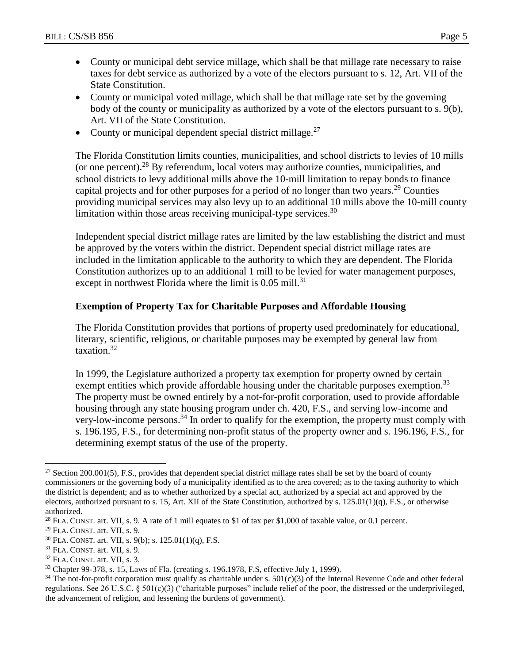- County or municipal debt service millage, which shall be that millage rate necessary to raise taxes for debt service as authorized by a vote of the electors pursuant to s. 12, Art. VII of the State Constitution.
- County or municipal voted millage, which shall be that millage rate set by the governing body of the county or municipality as authorized by a vote of the electors pursuant to s. 9(b), Art. VII of the State Constitution.
- County or municipal dependent special district millage.<sup>27</sup>

The Florida Constitution limits counties, municipalities, and school districts to levies of 10 mills (or one percent).<sup>28</sup> By referendum, local voters may authorize counties, municipalities, and school districts to levy additional mills above the 10-mill limitation to repay bonds to finance capital projects and for other purposes for a period of no longer than two years.<sup>29</sup> Counties providing municipal services may also levy up to an additional 10 mills above the 10-mill county limitation within those areas receiving municipal-type services.  $30$ 

Independent special district millage rates are limited by the law establishing the district and must be approved by the voters within the district. Dependent special district millage rates are included in the limitation applicable to the authority to which they are dependent. The Florida Constitution authorizes up to an additional 1 mill to be levied for water management purposes, except in northwest Florida where the limit is  $0.05$  mill.<sup>31</sup>

# **Exemption of Property Tax for Charitable Purposes and Affordable Housing**

The Florida Constitution provides that portions of property used predominately for educational, literary, scientific, religious, or charitable purposes may be exempted by general law from taxation.<sup>32</sup>

In 1999, the Legislature authorized a property tax exemption for property owned by certain exempt entities which provide affordable housing under the charitable purposes exemption.<sup>33</sup> The property must be owned entirely by a not-for-profit corporation, used to provide affordable housing through any state housing program under ch. 420, F.S., and serving low-income and very-low-income persons.<sup>34</sup> In order to qualify for the exemption, the property must comply with s. 196.195, F.S., for determining non-profit status of the property owner and s. 196.196, F.S., for determining exempt status of the use of the property.

<sup>&</sup>lt;sup>27</sup> Section 200.001(5), F.S., provides that dependent special district millage rates shall be set by the board of county commissioners or the governing body of a municipality identified as to the area covered; as to the taxing authority to which the district is dependent; and as to whether authorized by a special act, authorized by a special act and approved by the electors, authorized pursuant to s. 15, Art. XII of the State Constitution, authorized by s.  $125.01(1)(q)$ , F.S., or otherwise authorized.

<sup>&</sup>lt;sup>28</sup> FLA. CONST. art. VII, s. 9. A rate of 1 mill equates to \$1 of tax per \$1,000 of taxable value, or 0.1 percent.

 $29$  FLA. CONST. art. VII, s. 9.

<sup>30</sup> FLA. CONST. art. VII, s. 9(b); s. 125.01(1)(q), F.S.

<sup>31</sup> FLA. CONST. art. VII, s. 9.

<sup>32</sup> FLA. CONST. art. VII, s. 3.

<sup>33</sup> Chapter 99-378, s. 15, Laws of Fla. (creating s. 196.1978, F.S, effective July 1, 1999).

 $34$  The not-for-profit corporation must qualify as charitable under s.  $501(c)(3)$  of the Internal Revenue Code and other federal regulations. See 26 U.S.C. § 501(c)(3) ("charitable purposes" include relief of the poor, the distressed or the underprivileged, the advancement of religion, and lessening the burdens of government).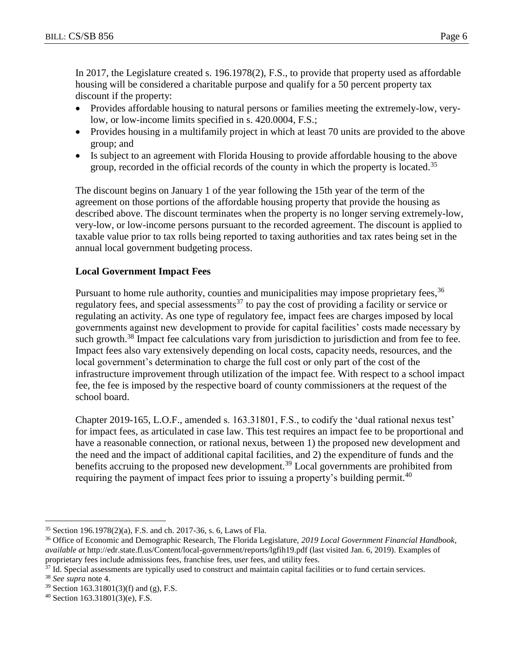In 2017, the Legislature created s. 196.1978(2), F.S., to provide that property used as affordable housing will be considered a charitable purpose and qualify for a 50 percent property tax discount if the property:

- Provides affordable housing to natural persons or families meeting the extremely-low, verylow, or low-income limits specified in s. 420.0004, F.S.;
- Provides housing in a multifamily project in which at least 70 units are provided to the above group; and
- Is subject to an agreement with Florida Housing to provide affordable housing to the above group, recorded in the official records of the county in which the property is located.<sup>35</sup>

The discount begins on January 1 of the year following the 15th year of the term of the agreement on those portions of the affordable housing property that provide the housing as described above. The discount terminates when the property is no longer serving extremely-low, very-low, or low-income persons pursuant to the recorded agreement. The discount is applied to taxable value prior to tax rolls being reported to taxing authorities and tax rates being set in the annual local government budgeting process.

## **Local Government Impact Fees**

Pursuant to home rule authority, counties and municipalities may impose proprietary fees,<sup>36</sup> regulatory fees, and special assessments<sup>37</sup> to pay the cost of providing a facility or service or regulating an activity. As one type of regulatory fee, impact fees are charges imposed by local governments against new development to provide for capital facilities' costs made necessary by such growth.<sup>38</sup> Impact fee calculations vary from jurisdiction to jurisdiction and from fee to fee. Impact fees also vary extensively depending on local costs, capacity needs, resources, and the local government's determination to charge the full cost or only part of the cost of the infrastructure improvement through utilization of the impact fee. With respect to a school impact fee, the fee is imposed by the respective board of county commissioners at the request of the school board.

Chapter 2019-165, L.O.F., amended s. 163.31801, F.S., to codify the 'dual rational nexus test' for impact fees, as articulated in case law. This test requires an impact fee to be proportional and have a reasonable connection, or rational nexus, between 1) the proposed new development and the need and the impact of additional capital facilities, and 2) the expenditure of funds and the benefits accruing to the proposed new development.<sup>39</sup> Local governments are prohibited from requiring the payment of impact fees prior to issuing a property's building permit.<sup>40</sup>

<sup>35</sup> Section 196.1978(2)(a), F.S. and ch. 2017-36, s. 6, Laws of Fla.

<sup>36</sup> Office of Economic and Demographic Research, The Florida Legislature, *2019 Local Government Financial Handbook*, *available at* http://edr.state.fl.us/Content/local-government/reports/lgfih19.pdf (last visited Jan. 6, 2019). Examples of proprietary fees include admissions fees, franchise fees, user fees, and utility fees.

<sup>&</sup>lt;sup>37</sup> Id. Special assessments are typically used to construct and maintain capital facilities or to fund certain services.

<sup>38</sup> *See supra* note 4.

<sup>39</sup> Section 163.31801(3)(f) and (g), F.S.

<sup>40</sup> Section 163.31801(3)(e), F.S.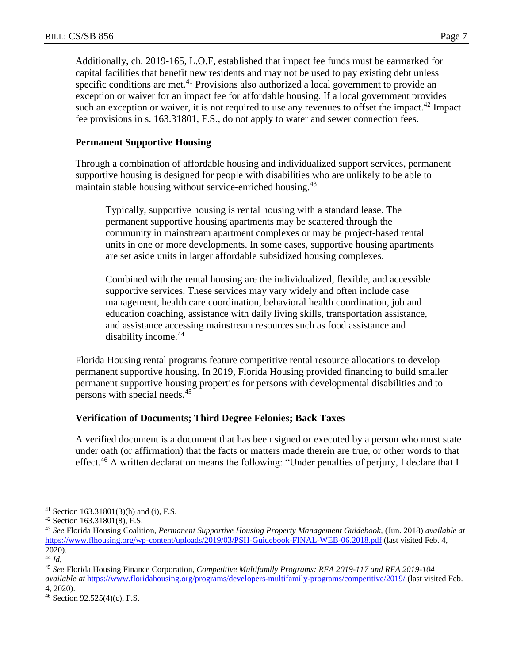Additionally, ch. 2019-165, L.O.F, established that impact fee funds must be earmarked for capital facilities that benefit new residents and may not be used to pay existing debt unless specific conditions are met.<sup>41</sup> Provisions also authorized a local government to provide an exception or waiver for an impact fee for affordable housing. If a local government provides such an exception or waiver, it is not required to use any revenues to offset the impact.<sup>42</sup> Impact fee provisions in s. 163.31801, F.S., do not apply to water and sewer connection fees.

## **Permanent Supportive Housing**

Through a combination of affordable housing and individualized support services, permanent supportive housing is designed for people with disabilities who are unlikely to be able to maintain stable housing without service-enriched housing.<sup>43</sup>

Typically, supportive housing is rental housing with a standard lease. The permanent supportive housing apartments may be scattered through the community in mainstream apartment complexes or may be project-based rental units in one or more developments. In some cases, supportive housing apartments are set aside units in larger affordable subsidized housing complexes.

Combined with the rental housing are the individualized, flexible, and accessible supportive services. These services may vary widely and often include case management, health care coordination, behavioral health coordination, job and education coaching, assistance with daily living skills, transportation assistance, and assistance accessing mainstream resources such as food assistance and disability income.<sup>44</sup>

Florida Housing rental programs feature competitive rental resource allocations to develop permanent supportive housing. In 2019, Florida Housing provided financing to build smaller permanent supportive housing properties for persons with developmental disabilities and to persons with special needs.<sup>45</sup>

#### **Verification of Documents; Third Degree Felonies; Back Taxes**

A verified document is a document that has been signed or executed by a person who must state under oath (or affirmation) that the facts or matters made therein are true, or other words to that effect.<sup>46</sup> A written declaration means the following: "Under penalties of perjury, I declare that I

<sup>41</sup> Section 163.31801(3)(h) and (i), F.S.

<sup>42</sup> Section 163.31801(8), F.S.

<sup>43</sup> *See* Florida Housing Coalition, *Permanent Supportive Housing Property Management Guidebook*, (Jun. 2018) *available at* <https://www.flhousing.org/wp-content/uploads/2019/03/PSH-Guidebook-FINAL-WEB-06.2018.pdf> (last visited Feb. 4, 2020).

<sup>44</sup> *Id.*

<sup>45</sup> *See* Florida Housing Finance Corporation, *Competitive Multifamily Programs: RFA 2019-117 and RFA 2019-104 available at* <https://www.floridahousing.org/programs/developers-multifamily-programs/competitive/2019/> (last visited Feb. 4, 2020).

<sup>46</sup> Section 92.525(4)(c), F.S.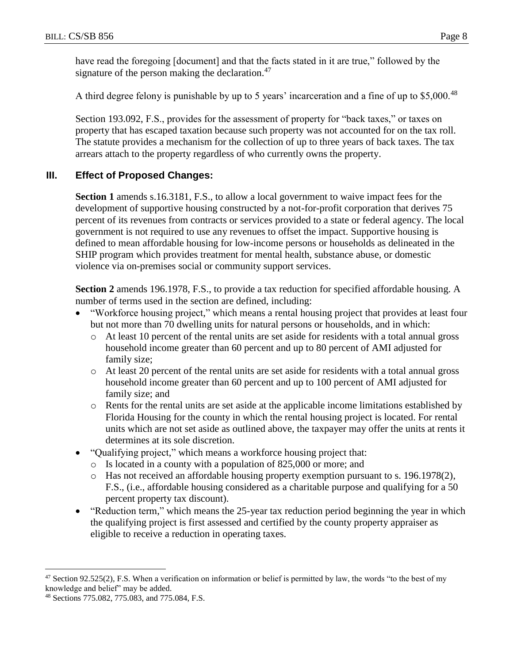have read the foregoing [document] and that the facts stated in it are true," followed by the signature of the person making the declaration.<sup>47</sup>

A third degree felony is punishable by up to 5 years' incarceration and a fine of up to \$5,000.<sup>48</sup>

Section 193.092, F.S., provides for the assessment of property for "back taxes," or taxes on property that has escaped taxation because such property was not accounted for on the tax roll. The statute provides a mechanism for the collection of up to three years of back taxes. The tax arrears attach to the property regardless of who currently owns the property.

## **III. Effect of Proposed Changes:**

**Section 1** amends s.16.3181, F.S., to allow a local government to waive impact fees for the development of supportive housing constructed by a not-for-profit corporation that derives 75 percent of its revenues from contracts or services provided to a state or federal agency. The local government is not required to use any revenues to offset the impact. Supportive housing is defined to mean affordable housing for low-income persons or households as delineated in the SHIP program which provides treatment for mental health, substance abuse, or domestic violence via on-premises social or community support services.

**Section 2** amends 196.1978, F.S., to provide a tax reduction for specified affordable housing. A number of terms used in the section are defined, including:

- "Workforce housing project," which means a rental housing project that provides at least four but not more than 70 dwelling units for natural persons or households, and in which:
	- o At least 10 percent of the rental units are set aside for residents with a total annual gross household income greater than 60 percent and up to 80 percent of AMI adjusted for family size;
	- o At least 20 percent of the rental units are set aside for residents with a total annual gross household income greater than 60 percent and up to 100 percent of AMI adjusted for family size; and
	- o Rents for the rental units are set aside at the applicable income limitations established by Florida Housing for the county in which the rental housing project is located. For rental units which are not set aside as outlined above, the taxpayer may offer the units at rents it determines at its sole discretion.
- "Qualifying project," which means a workforce housing project that:
	- o Is located in a county with a population of 825,000 or more; and
	- o Has not received an affordable housing property exemption pursuant to s. 196.1978(2), F.S., (i.e., affordable housing considered as a charitable purpose and qualifying for a 50 percent property tax discount).
- "Reduction term," which means the 25-year tax reduction period beginning the year in which the qualifying project is first assessed and certified by the county property appraiser as eligible to receive a reduction in operating taxes.

 $\overline{a}$  $47$  Section 92.525(2), F.S. When a verification on information or belief is permitted by law, the words "to the best of my knowledge and belief" may be added.

<sup>48</sup> Sections 775.082, 775.083, and 775.084, F.S.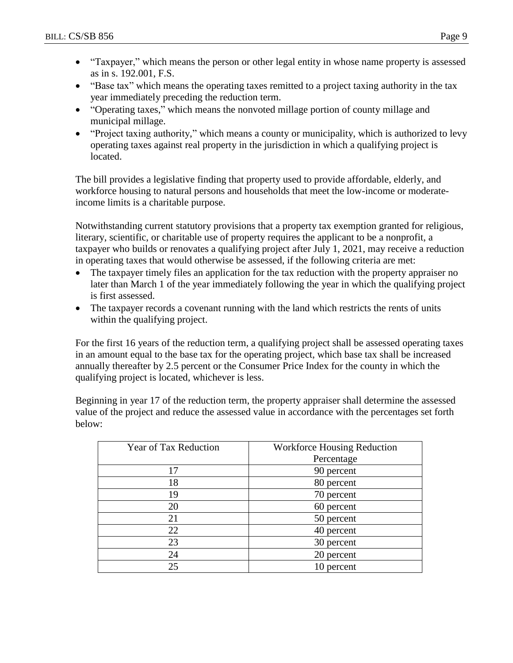- "Taxpayer," which means the person or other legal entity in whose name property is assessed as in s. 192.001, F.S.
- "Base tax" which means the operating taxes remitted to a project taxing authority in the tax year immediately preceding the reduction term.
- "Operating taxes," which means the nonvoted millage portion of county millage and municipal millage.
- "Project taxing authority," which means a county or municipality, which is authorized to levy operating taxes against real property in the jurisdiction in which a qualifying project is located.

The bill provides a legislative finding that property used to provide affordable, elderly, and workforce housing to natural persons and households that meet the low-income or moderateincome limits is a charitable purpose.

Notwithstanding current statutory provisions that a property tax exemption granted for religious, literary, scientific, or charitable use of property requires the applicant to be a nonprofit, a taxpayer who builds or renovates a qualifying project after July 1, 2021, may receive a reduction in operating taxes that would otherwise be assessed, if the following criteria are met:

- The taxpayer timely files an application for the tax reduction with the property appraiser no later than March 1 of the year immediately following the year in which the qualifying project is first assessed.
- The taxpayer records a covenant running with the land which restricts the rents of units within the qualifying project.

For the first 16 years of the reduction term, a qualifying project shall be assessed operating taxes in an amount equal to the base tax for the operating project, which base tax shall be increased annually thereafter by 2.5 percent or the Consumer Price Index for the county in which the qualifying project is located, whichever is less.

Beginning in year 17 of the reduction term, the property appraiser shall determine the assessed value of the project and reduce the assessed value in accordance with the percentages set forth below:

| <b>Year of Tax Reduction</b> | <b>Workforce Housing Reduction</b> |  |  |
|------------------------------|------------------------------------|--|--|
|                              | Percentage                         |  |  |
| 17                           | 90 percent                         |  |  |
| 18                           | 80 percent                         |  |  |
| 19                           | 70 percent                         |  |  |
| 20                           | 60 percent                         |  |  |
| 21                           | 50 percent                         |  |  |
| 22                           | 40 percent                         |  |  |
| 23                           | 30 percent                         |  |  |
| 24                           | 20 percent                         |  |  |
| 25                           | 10 percent                         |  |  |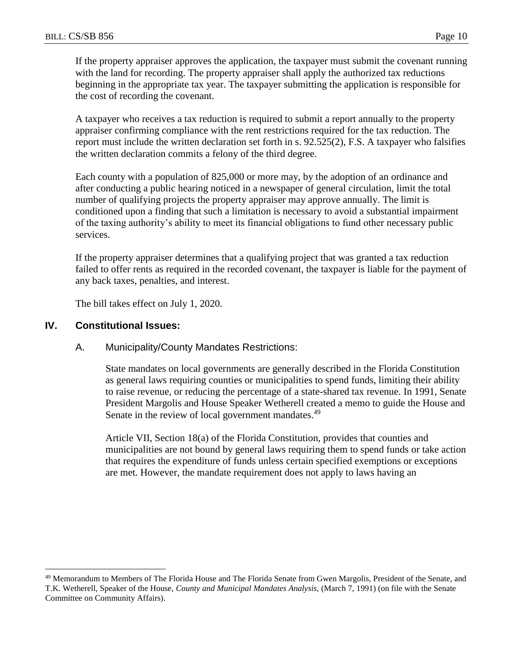If the property appraiser approves the application, the taxpayer must submit the covenant running with the land for recording. The property appraiser shall apply the authorized tax reductions beginning in the appropriate tax year. The taxpayer submitting the application is responsible for the cost of recording the covenant.

A taxpayer who receives a tax reduction is required to submit a report annually to the property appraiser confirming compliance with the rent restrictions required for the tax reduction. The report must include the written declaration set forth in s. 92.525(2), F.S. A taxpayer who falsifies the written declaration commits a felony of the third degree.

Each county with a population of 825,000 or more may, by the adoption of an ordinance and after conducting a public hearing noticed in a newspaper of general circulation, limit the total number of qualifying projects the property appraiser may approve annually. The limit is conditioned upon a finding that such a limitation is necessary to avoid a substantial impairment of the taxing authority's ability to meet its financial obligations to fund other necessary public services.

If the property appraiser determines that a qualifying project that was granted a tax reduction failed to offer rents as required in the recorded covenant, the taxpayer is liable for the payment of any back taxes, penalties, and interest.

The bill takes effect on July 1, 2020.

#### **IV. Constitutional Issues:**

 $\overline{a}$ 

#### A. Municipality/County Mandates Restrictions:

State mandates on local governments are generally described in the Florida Constitution as general laws requiring counties or municipalities to spend funds, limiting their ability to raise revenue, or reducing the percentage of a state-shared tax revenue. In 1991, Senate President Margolis and House Speaker Wetherell created a memo to guide the House and Senate in the review of local government mandates.<sup>49</sup>

Article VII, Section 18(a) of the Florida Constitution, provides that counties and municipalities are not bound by general laws requiring them to spend funds or take action that requires the expenditure of funds unless certain specified exemptions or exceptions are met. However, the mandate requirement does not apply to laws having an

<sup>49</sup> Memorandum to Members of The Florida House and The Florida Senate from Gwen Margolis, President of the Senate, and T.K. Wetherell, Speaker of the House, *County and Municipal Mandates Analysis,* (March 7, 1991) (on file with the Senate Committee on Community Affairs).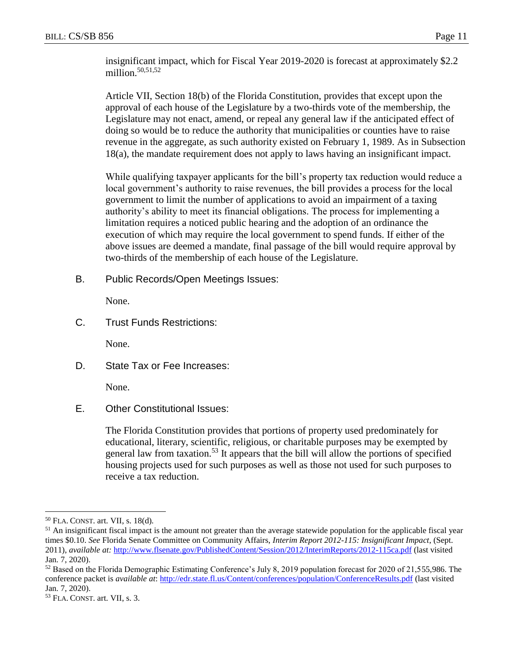insignificant impact, which for Fiscal Year 2019-2020 is forecast at approximately \$2.2 million. $50,51,52$ 

Article VII, Section 18(b) of the Florida Constitution, provides that except upon the approval of each house of the Legislature by a two-thirds vote of the membership, the Legislature may not enact, amend, or repeal any general law if the anticipated effect of doing so would be to reduce the authority that municipalities or counties have to raise revenue in the aggregate, as such authority existed on February 1, 1989. As in Subsection 18(a), the mandate requirement does not apply to laws having an insignificant impact.

While qualifying taxpayer applicants for the bill's property tax reduction would reduce a local government's authority to raise revenues, the bill provides a process for the local government to limit the number of applications to avoid an impairment of a taxing authority's ability to meet its financial obligations. The process for implementing a limitation requires a noticed public hearing and the adoption of an ordinance the execution of which may require the local government to spend funds. If either of the above issues are deemed a mandate, final passage of the bill would require approval by two-thirds of the membership of each house of the Legislature.

B. Public Records/Open Meetings Issues:

None.

C. Trust Funds Restrictions:

None.

D. State Tax or Fee Increases:

None.

E. Other Constitutional Issues:

The Florida Constitution provides that portions of property used predominately for educational, literary, scientific, religious, or charitable purposes may be exempted by general law from taxation.<sup>53</sup> It appears that the bill will allow the portions of specified housing projects used for such purposes as well as those not used for such purposes to receive a tax reduction.

 $\overline{a}$ <sup>50</sup> FLA. CONST. art. VII, s. 18(d).

 $<sup>51</sup>$  An insignificant fiscal impact is the amount not greater than the average statewide population for the applicable fiscal year</sup> times \$0.10. *See* Florida Senate Committee on Community Affairs, *Interim Report 2012-115: Insignificant Impact*, (Sept. 2011), *available at:* <http://www.flsenate.gov/PublishedContent/Session/2012/InterimReports/2012-115ca.pdf> (last visited Jan. 7, 2020).

<sup>52</sup> Based on the Florida Demographic Estimating Conference's July 8, 2019 population forecast for 2020 of 21,555,986. The conference packet is *available at*: <http://edr.state.fl.us/Content/conferences/population/ConferenceResults.pdf> (last visited Jan. 7, 2020).

<sup>53</sup> FLA. CONST. art. VII, s. 3.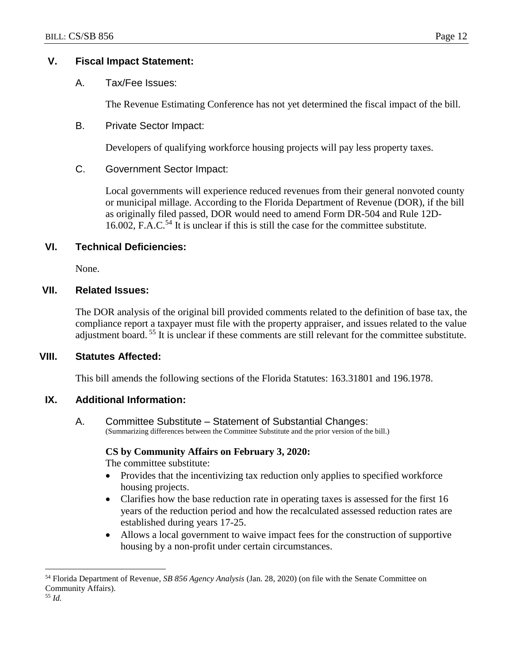## **V. Fiscal Impact Statement:**

A. Tax/Fee Issues:

The Revenue Estimating Conference has not yet determined the fiscal impact of the bill.

B. Private Sector Impact:

Developers of qualifying workforce housing projects will pay less property taxes.

C. Government Sector Impact:

Local governments will experience reduced revenues from their general nonvoted county or municipal millage. According to the Florida Department of Revenue (DOR), if the bill as originally filed passed, DOR would need to amend Form DR-504 and Rule 12D-16.002, F.A.C.<sup>54</sup> It is unclear if this is still the case for the committee substitute.

# **VI. Technical Deficiencies:**

None.

# **VII. Related Issues:**

The DOR analysis of the original bill provided comments related to the definition of base tax, the compliance report a taxpayer must file with the property appraiser, and issues related to the value adjustment board.<sup>55</sup> It is unclear if these comments are still relevant for the committee substitute.

## **VIII. Statutes Affected:**

This bill amends the following sections of the Florida Statutes: 163.31801 and 196.1978.

# **IX. Additional Information:**

A. Committee Substitute – Statement of Substantial Changes: (Summarizing differences between the Committee Substitute and the prior version of the bill.)

## **CS by Community Affairs on February 3, 2020:**

The committee substitute:

- Provides that the incentivizing tax reduction only applies to specified workforce housing projects.
- Clarifies how the base reduction rate in operating taxes is assessed for the first 16 years of the reduction period and how the recalculated assessed reduction rates are established during years 17-25.
- Allows a local government to waive impact fees for the construction of supportive housing by a non-profit under certain circumstances.

<sup>54</sup> Florida Department of Revenue, *SB 856 Agency Analysis* (Jan. 28, 2020) (on file with the Senate Committee on Community Affairs).

<sup>55</sup> *Id.*